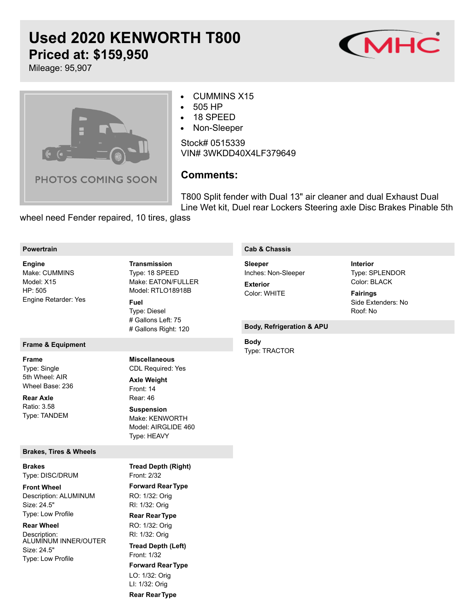# **Used 2020 KENWORTH T800 Priced at: \$159,950**



Mileage: 95,907



#### CUMMINS X15  $\bullet$

- 505 HP  $\bullet$
- 18 SPEED  $\bullet$
- Non-Sleeper  $\bullet$

Stock# 0515339 VIN# 3WKDD40X4LF379649

# **Comments:**

T800 Split fender with Dual 13" air cleaner and dual Exhaust Dual Line Wet kit, Duel rear Lockers Steering axle Disc Brakes Pinable 5th

wheel need Fender repaired, 10 tires, glass

#### **Powertrain**

Make: CUMMINS Model: X15 HP: 505 Engine Retarder: Yes **Engine**

# **Frame & Equipment**

**Frame**

Type: Single 5th Wheel: AIR Wheel Base: 236

Ratio: 3.58 Type: TANDEM **Rear Axle**

## **Brakes, Tires & Wheels**

Type: DISC/DRUM **Brakes**

Description: ALUMINUM Size: 24.5" Type: Low Profile **Front Wheel**

**Rear Wheel**

Description: ALUMINUM INNER/OUTER Size: 24.5" Type: Low Profile

Type: 18 SPEED Make: EATON/FULLER Model: RTLO18918B **Transmission Fuel**

Type: Diesel # Gallons Left: 75 # Gallons Right: 120

CDL Required: Yes **Miscellaneous**

Front: 14 Rear: 46 Make: KENWORTH Model: AIRGLIDE 460 **Axle Weight Suspension**

Type: HEAVY

Front: 2/32

**Tread Depth (Right)**

# **Cab & Chassis**

Inches: Non-Sleeper **Sleeper Exterior**

Color: WHITE

Type: SPLENDOR Color: BLACK **Interior**

Side Extenders: No Roof: No **Fairings**

### **Body, Refrigeration & APU**

#### **Body**

Type: TRACTOR

**Forward RearType** RO: 1/32: Orig RI: 1/32: Orig **Rear RearType** RO: 1/32: Orig RI: 1/32: Orig Front: 1/32 **Forward RearType** LO: 1/32: Orig LI: 1/32: Orig **Rear RearType Tread Depth (Left)**